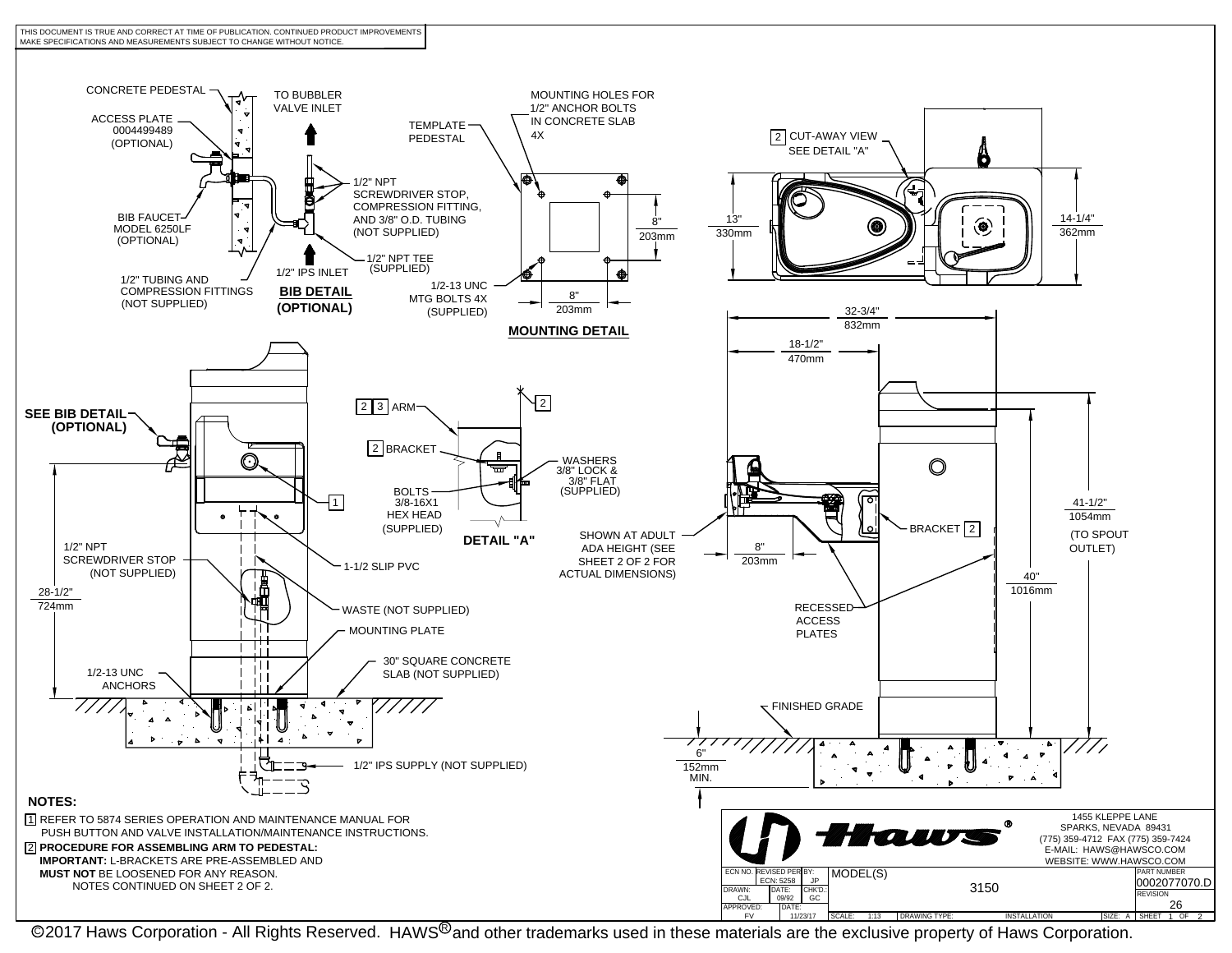



@2017 Haws Corporation - All Rights Reserved. HAWS<sup>®</sup>and other trademarks used in these materials are the exclusive property of Haws Corporation.